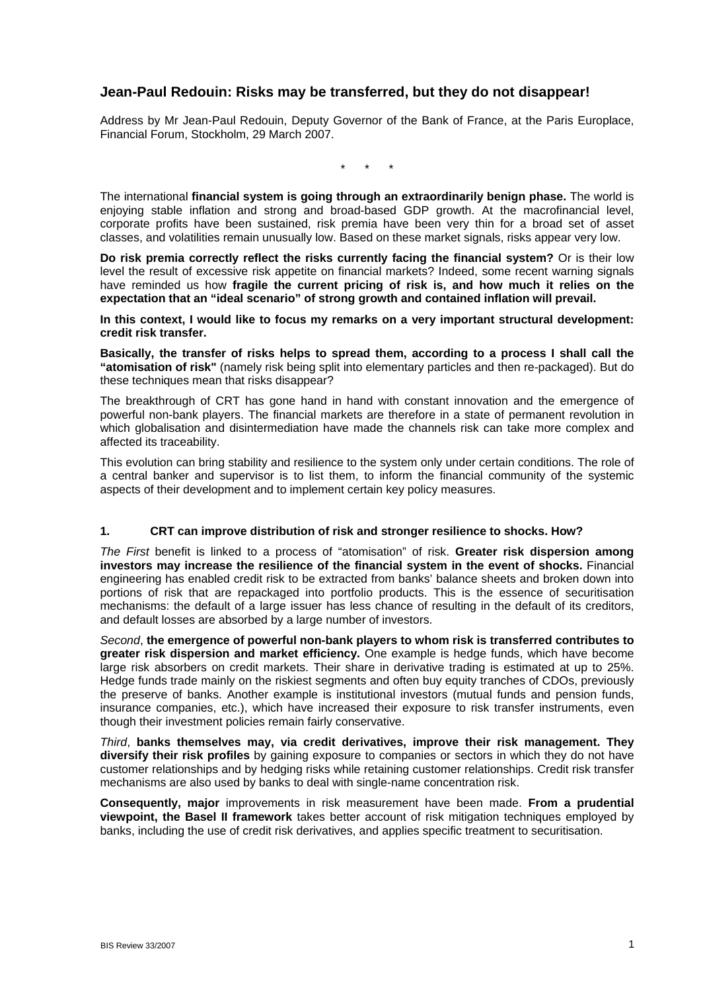## **Jean-Paul Redouin: Risks may be transferred, but they do not disappear!**

Address by Mr Jean-Paul Redouin, Deputy Governor of the Bank of France, at the Paris Europlace, Financial Forum, Stockholm, 29 March 2007.

\* \* \*

The international **financial system is going through an extraordinarily benign phase.** The world is enjoying stable inflation and strong and broad-based GDP growth. At the macrofinancial level, corporate profits have been sustained, risk premia have been very thin for a broad set of asset classes, and volatilities remain unusually low. Based on these market signals, risks appear very low.

**Do risk premia correctly reflect the risks currently facing the financial system?** Or is their low level the result of excessive risk appetite on financial markets? Indeed, some recent warning signals have reminded us how **fragile the current pricing of risk is, and how much it relies on the expectation that an "ideal scenario" of strong growth and contained inflation will prevail.** 

**In this context, I would like to focus my remarks on a very important structural development: credit risk transfer.** 

**Basically, the transfer of risks helps to spread them, according to a process I shall call the "atomisation of risk"** (namely risk being split into elementary particles and then re-packaged). But do these techniques mean that risks disappear?

The breakthrough of CRT has gone hand in hand with constant innovation and the emergence of powerful non-bank players. The financial markets are therefore in a state of permanent revolution in which globalisation and disintermediation have made the channels risk can take more complex and affected its traceability.

This evolution can bring stability and resilience to the system only under certain conditions. The role of a central banker and supervisor is to list them, to inform the financial community of the systemic aspects of their development and to implement certain key policy measures.

## **1. CRT can improve distribution of risk and stronger resilience to shocks. How?**

*The First* benefit is linked to a process of "atomisation" of risk. **Greater risk dispersion among investors may increase the resilience of the financial system in the event of shocks.** Financial engineering has enabled credit risk to be extracted from banks' balance sheets and broken down into portions of risk that are repackaged into portfolio products. This is the essence of securitisation mechanisms: the default of a large issuer has less chance of resulting in the default of its creditors, and default losses are absorbed by a large number of investors.

*Second*, **the emergence of powerful non-bank players to whom risk is transferred contributes to greater risk dispersion and market efficiency.** One example is hedge funds, which have become large risk absorbers on credit markets. Their share in derivative trading is estimated at up to 25%. Hedge funds trade mainly on the riskiest segments and often buy equity tranches of CDOs, previously the preserve of banks. Another example is institutional investors (mutual funds and pension funds, insurance companies, etc.), which have increased their exposure to risk transfer instruments, even though their investment policies remain fairly conservative.

*Third*, **banks themselves may, via credit derivatives, improve their risk management. They diversify their risk profiles** by gaining exposure to companies or sectors in which they do not have customer relationships and by hedging risks while retaining customer relationships. Credit risk transfer mechanisms are also used by banks to deal with single-name concentration risk.

**Consequently, major** improvements in risk measurement have been made. **From a prudential viewpoint, the Basel II framework** takes better account of risk mitigation techniques employed by banks, including the use of credit risk derivatives, and applies specific treatment to securitisation.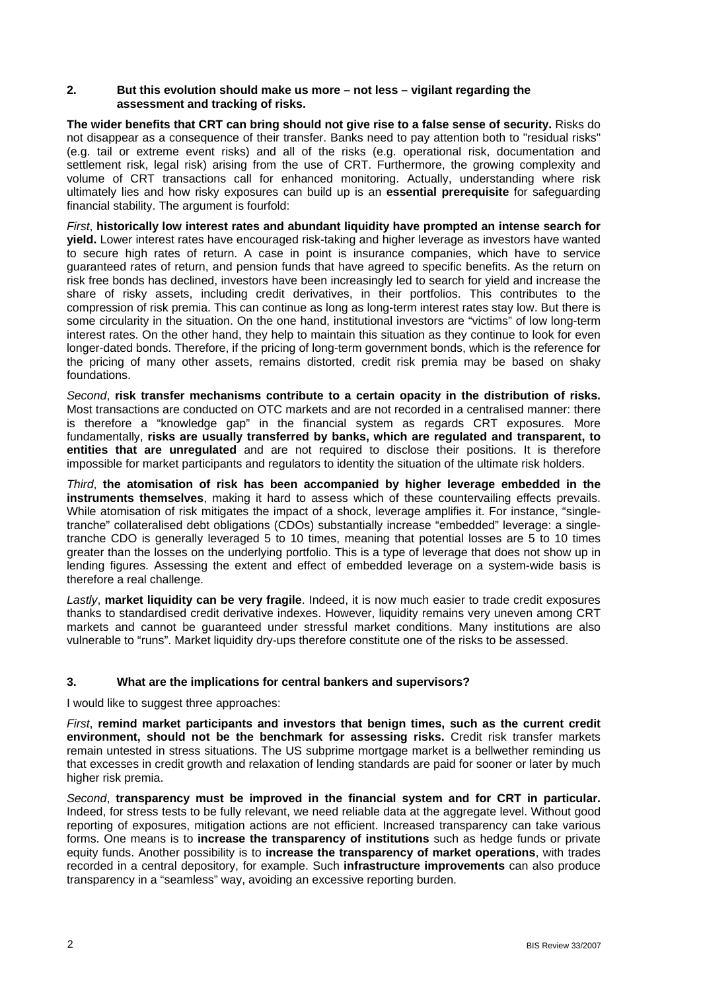## **2. But this evolution should make us more – not less – vigilant regarding the assessment and tracking of risks.**

**The wider benefits that CRT can bring should not give rise to a false sense of security.** Risks do not disappear as a consequence of their transfer. Banks need to pay attention both to "residual risks" (e.g. tail or extreme event risks) and all of the risks (e.g. operational risk, documentation and settlement risk, legal risk) arising from the use of CRT. Furthermore, the growing complexity and volume of CRT transactions call for enhanced monitoring. Actually, understanding where risk ultimately lies and how risky exposures can build up is an **essential prerequisite** for safeguarding financial stability. The argument is fourfold:

*First*, **historically low interest rates and abundant liquidity have prompted an intense search for yield.** Lower interest rates have encouraged risk-taking and higher leverage as investors have wanted to secure high rates of return. A case in point is insurance companies, which have to service guaranteed rates of return, and pension funds that have agreed to specific benefits. As the return on risk free bonds has declined, investors have been increasingly led to search for yield and increase the share of risky assets, including credit derivatives, in their portfolios. This contributes to the compression of risk premia. This can continue as long as long-term interest rates stay low. But there is some circularity in the situation. On the one hand, institutional investors are "victims" of low long-term interest rates. On the other hand, they help to maintain this situation as they continue to look for even longer-dated bonds. Therefore, if the pricing of long-term government bonds, which is the reference for the pricing of many other assets, remains distorted, credit risk premia may be based on shaky foundations.

*Second*, **risk transfer mechanisms contribute to a certain opacity in the distribution of risks.** Most transactions are conducted on OTC markets and are not recorded in a centralised manner: there is therefore a "knowledge gap" in the financial system as regards CRT exposures. More fundamentally, **risks are usually transferred by banks, which are regulated and transparent, to entities that are unregulated** and are not required to disclose their positions. It is therefore impossible for market participants and regulators to identity the situation of the ultimate risk holders.

*Third*, **the atomisation of risk has been accompanied by higher leverage embedded in the instruments themselves**, making it hard to assess which of these countervailing effects prevails. While atomisation of risk mitigates the impact of a shock, leverage amplifies it. For instance, "singletranche" collateralised debt obligations (CDOs) substantially increase "embedded" leverage: a singletranche CDO is generally leveraged 5 to 10 times, meaning that potential losses are 5 to 10 times greater than the losses on the underlying portfolio. This is a type of leverage that does not show up in lending figures. Assessing the extent and effect of embedded leverage on a system-wide basis is therefore a real challenge.

*Lastly*, **market liquidity can be very fragile**. Indeed, it is now much easier to trade credit exposures thanks to standardised credit derivative indexes. However, liquidity remains very uneven among CRT markets and cannot be guaranteed under stressful market conditions. Many institutions are also vulnerable to "runs". Market liquidity dry-ups therefore constitute one of the risks to be assessed.

## **3. What are the implications for central bankers and supervisors?**

I would like to suggest three approaches:

*First*, **remind market participants and investors that benign times, such as the current credit environment, should not be the benchmark for assessing risks.** Credit risk transfer markets remain untested in stress situations. The US subprime mortgage market is a bellwether reminding us that excesses in credit growth and relaxation of lending standards are paid for sooner or later by much higher risk premia.

*Second*, **transparency must be improved in the financial system and for CRT in particular.** Indeed, for stress tests to be fully relevant, we need reliable data at the aggregate level. Without good reporting of exposures, mitigation actions are not efficient. Increased transparency can take various forms. One means is to **increase the transparency of institutions** such as hedge funds or private equity funds. Another possibility is to **increase the transparency of market operations**, with trades recorded in a central depository, for example. Such **infrastructure improvements** can also produce transparency in a "seamless" way, avoiding an excessive reporting burden.